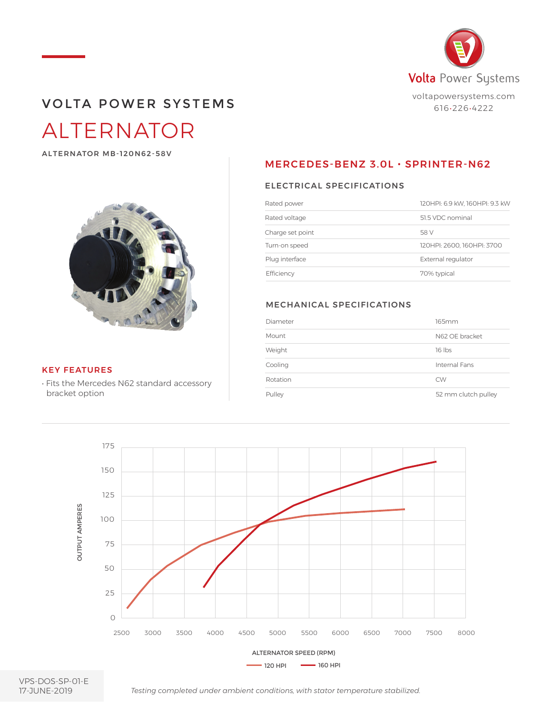

## ALTERNATOR VOLTA POWER SYSTEMS

ALTERNATOR MB-120N62-58V



#### KEY FEATURES

• Fits the Mercedes N62 standard accessory bracket option

### MERCEDES-BENZ 3.0L · SPRINTER-N62

### ELECTRICAL SPECIFICATIONS

| Rated power      | 120HPI: 6.9 kW, 160HPI: 9.3 kW |
|------------------|--------------------------------|
| Rated voltage    | 51.5 VDC nominal               |
| Charge set point | 58 V                           |
| Turn-on speed    | 120HPI: 2600. 160HPI: 3700     |
| Plug interface   | External regulator             |
| Efficiency       | 70% typical                    |

#### MECHANICAL SPECIFICATIONS

| Diameter | 165mm               |
|----------|---------------------|
| Mount    | N62 OF bracket      |
| Weight   | $16$ lbs            |
| Cooling  | Internal Fans       |
| Rotation | <b>CW</b>           |
| Pulley   | 52 mm clutch pulley |



VPS-DOS-SP-01-E 17-JUNE-2019

*Testing completed under ambient conditions, with stator temperature stabilized.*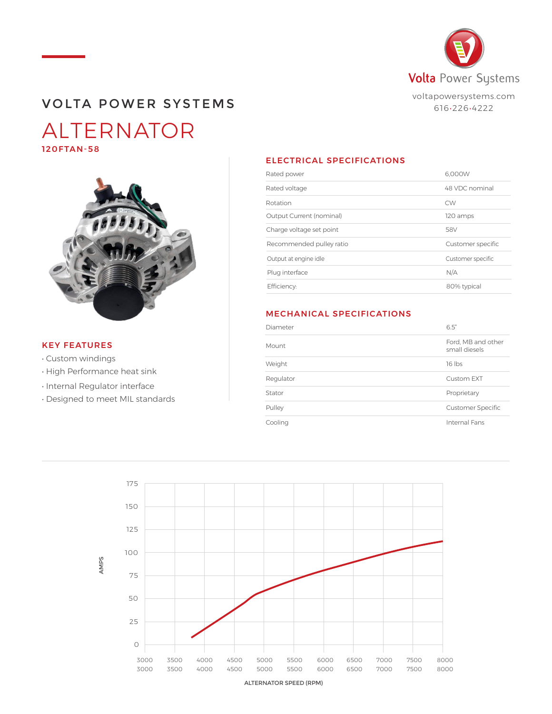

### VOLTA POWER SYSTEMS

### ALTERNATOR 120FTAN-58



### KEY FEATURES

- Custom windings
- High Performance heat sink
- Internal Regulator interface
- Designed to meet MIL standards

### ELECTRICAL SPECIFICATIONS

| Rated power              | 6.000W            |
|--------------------------|-------------------|
| Rated voltage            | 48 VDC nominal    |
| Rotation                 | <b>CW</b>         |
| Output Current (nominal) | 120 amps          |
| Charge voltage set point | 58V               |
| Recommended pulley ratio | Customer specific |
| Output at engine idle    | Customer specific |
| Plug interface           | N/A               |
| Efficiency:              | 80% typical       |

### MECHANICAL SPECIFICATIONS

| Diameter  | 6.5"                                |
|-----------|-------------------------------------|
| Mount     | Ford, MB and other<br>small diesels |
| Weight    | 16 lbs                              |
| Regulator | Custom EXT                          |
| Stator    | Proprietary                         |
| Pulley    | <b>Customer Specific</b>            |
| Cooling   | Internal Fans                       |

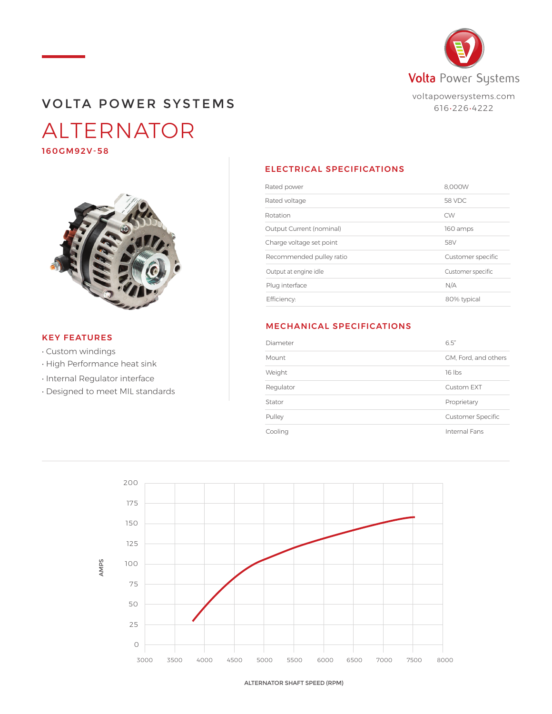

### VOLTA POWER SYSTEMS

# ALTERNATOR

160GM92V-58



### KEY FEATURES

- Custom windings
- High Performance heat sink
- Internal Regulator interface
- Designed to meet MIL standards

### ELECTRICAL SPECIFICATIONS

| Rated power              | 8.000W            |
|--------------------------|-------------------|
| Rated voltage            | 58 VDC            |
| Rotation                 | <b>CW</b>         |
| Output Current (nominal) | 160 amps          |
| Charge voltage set point | 58V               |
| Recommended pulley ratio | Customer specific |
| Output at engine idle    | Customer specific |
| Plug interface           | N/A               |
| Efficiency:              | 80% typical       |
|                          |                   |

### MECHANICAL SPECIFICATIONS

| Diameter  | 6.5"                     |
|-----------|--------------------------|
| Mount     | GM, Ford, and others     |
| Weight    | 16 lbs                   |
| Regulator | Custom EXT               |
| Stator    | Proprietary              |
| Pulley    | <b>Customer Specific</b> |
| Cooling   | Internal Fans            |